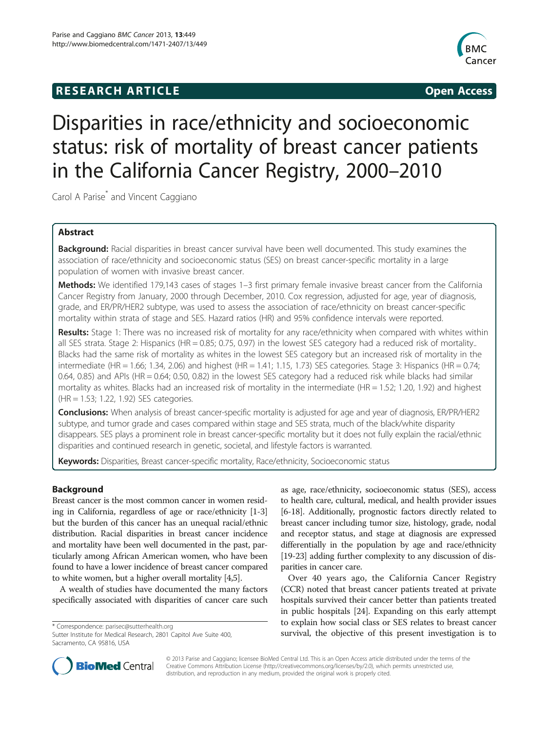# **RESEARCH ARTICLE Example 2014 12:30 The SEAR CHA RESEARCH ARTICLE**



# Disparities in race/ethnicity and socioeconomic status: risk of mortality of breast cancer patients in the California Cancer Registry, 2000–2010

Carol A Parise<sup>\*</sup> and Vincent Caggiano

# Abstract

Background: Racial disparities in breast cancer survival have been well documented. This study examines the association of race/ethnicity and socioeconomic status (SES) on breast cancer-specific mortality in a large population of women with invasive breast cancer.

Methods: We identified 179,143 cases of stages 1-3 first primary female invasive breast cancer from the California Cancer Registry from January, 2000 through December, 2010. Cox regression, adjusted for age, year of diagnosis, grade, and ER/PR/HER2 subtype, was used to assess the association of race/ethnicity on breast cancer-specific mortality within strata of stage and SES. Hazard ratios (HR) and 95% confidence intervals were reported.

Results: Stage 1: There was no increased risk of mortality for any race/ethnicity when compared with whites within all SES strata. Stage 2: Hispanics (HR = 0.85; 0.75, 0.97) in the lowest SES category had a reduced risk of mortality.. Blacks had the same risk of mortality as whites in the lowest SES category but an increased risk of mortality in the intermediate (HR = 1.66; 1.34, 2.06) and highest (HR = 1.41; 1.15, 1.73) SES categories. Stage 3: Hispanics (HR = 0.74; 0.64, 0.85) and APIs (HR = 0.64; 0.50, 0.82) in the lowest SES category had a reduced risk while blacks had similar mortality as whites. Blacks had an increased risk of mortality in the intermediate (HR = 1.52; 1.20, 1.92) and highest (HR = 1.53; 1.22, 1.92) SES categories.

Conclusions: When analysis of breast cancer-specific mortality is adjusted for age and year of diagnosis, ER/PR/HER2 subtype, and tumor grade and cases compared within stage and SES strata, much of the black/white disparity disappears. SES plays a prominent role in breast cancer-specific mortality but it does not fully explain the racial/ethnic disparities and continued research in genetic, societal, and lifestyle factors is warranted.

Keywords: Disparities, Breast cancer-specific mortality, Race/ethnicity, Socioeconomic status

# Background

Breast cancer is the most common cancer in women residing in California, regardless of age or race/ethnicity [\[1](#page-8-0)-[3](#page-8-0)] but the burden of this cancer has an unequal racial/ethnic distribution. Racial disparities in breast cancer incidence and mortality have been well documented in the past, particularly among African American women, who have been found to have a lower incidence of breast cancer compared to white women, but a higher overall mortality [\[4,5\]](#page-8-0).

A wealth of studies have documented the many factors specifically associated with disparities of cancer care such

Sutter Institute for Medical Research, 2801 Capitol Ave Suite 400, Sacramento, CA 95816, USA

as age, race/ethnicity, socioeconomic status (SES), access to health care, cultural, medical, and health provider issues [[6-18](#page-8-0)]. Additionally, prognostic factors directly related to breast cancer including tumor size, histology, grade, nodal and receptor status, and stage at diagnosis are expressed differentially in the population by age and race/ethnicity [[19](#page-8-0)-[23](#page-8-0)] adding further complexity to any discussion of disparities in cancer care.

Over 40 years ago, the California Cancer Registry (CCR) noted that breast cancer patients treated at private hospitals survived their cancer better than patients treated in public hospitals [\[24\]](#page-8-0). Expanding on this early attempt to explain how social class or SES relates to breast cancer survival, the objective of this present investigation is to \* Correspondence: [parisec@sutterhealth.org](mailto:parisec@sutterhealth.org) varited to the Suite 400,<br>Sutter Institute for Medical Research, 2801 Capitol Ave Suite 400, survival, the objective of



© 2013 Parise and Caggiano; licensee BioMed Central Ltd. This is an Open Access article distributed under the terms of the Creative Commons Attribution License (<http://creativecommons.org/licenses/by/2.0>), which permits unrestricted use, distribution, and reproduction in any medium, provided the original work is properly cited.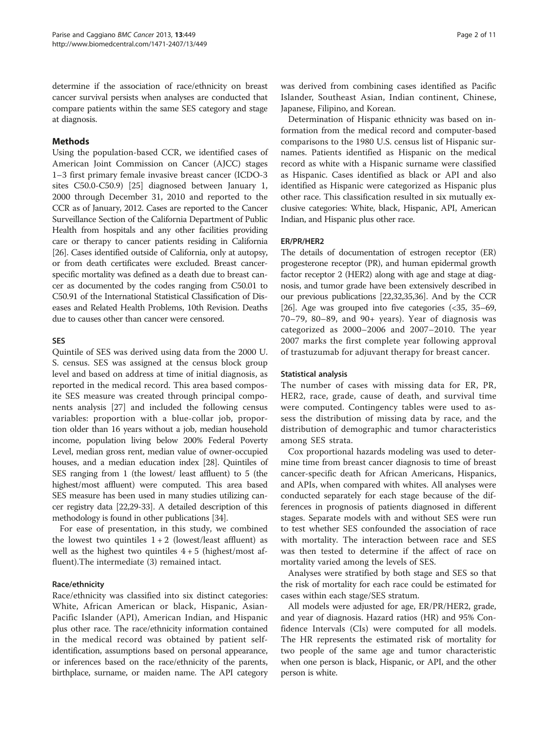determine if the association of race/ethnicity on breast cancer survival persists when analyses are conducted that compare patients within the same SES category and stage at diagnosis.

# Methods

Using the population-based CCR, we identified cases of American Joint Commission on Cancer (AJCC) stages 1–3 first primary female invasive breast cancer (ICDO-3 sites C50.0-C50.9) [[25\]](#page-8-0) diagnosed between January 1, 2000 through December 31, 2010 and reported to the CCR as of January, 2012. Cases are reported to the Cancer Surveillance Section of the California Department of Public Health from hospitals and any other facilities providing care or therapy to cancer patients residing in California [[26](#page-8-0)]. Cases identified outside of California, only at autopsy, or from death certificates were excluded. Breast cancerspecific mortality was defined as a death due to breast cancer as documented by the codes ranging from C50.01 to C50.91 of the International Statistical Classification of Diseases and Related Health Problems, 10th Revision. Deaths due to causes other than cancer were censored.

#### SES

Quintile of SES was derived using data from the 2000 U. S. census. SES was assigned at the census block group level and based on address at time of initial diagnosis, as reported in the medical record. This area based composite SES measure was created through principal components analysis [[27\]](#page-8-0) and included the following census variables: proportion with a blue-collar job, proportion older than 16 years without a job, median household income, population living below 200% Federal Poverty Level, median gross rent, median value of owner-occupied houses, and a median education index [\[28\]](#page-8-0). Quintiles of SES ranging from 1 (the lowest/ least affluent) to 5 (the highest/most affluent) were computed. This area based SES measure has been used in many studies utilizing cancer registry data [\[22,29](#page-8-0)[-33\]](#page-9-0). A detailed description of this methodology is found in other publications [[34](#page-9-0)].

For ease of presentation, in this study, we combined the lowest two quintiles  $1+2$  (lowest/least affluent) as well as the highest two quintiles  $4 + 5$  (highest/most affluent).The intermediate (3) remained intact.

#### Race/ethnicity

Race/ethnicity was classified into six distinct categories: White, African American or black, Hispanic, Asian-Pacific Islander (API), American Indian, and Hispanic plus other race. The race/ethnicity information contained in the medical record was obtained by patient selfidentification, assumptions based on personal appearance, or inferences based on the race/ethnicity of the parents, birthplace, surname, or maiden name. The API category was derived from combining cases identified as Pacific Islander, Southeast Asian, Indian continent, Chinese, Japanese, Filipino, and Korean.

Determination of Hispanic ethnicity was based on information from the medical record and computer-based comparisons to the 1980 U.S. census list of Hispanic surnames. Patients identified as Hispanic on the medical record as white with a Hispanic surname were classified as Hispanic. Cases identified as black or API and also identified as Hispanic were categorized as Hispanic plus other race. This classification resulted in six mutually exclusive categories: White, black, Hispanic, API, American Indian, and Hispanic plus other race.

#### ER/PR/HER2

The details of documentation of estrogen receptor (ER) progesterone receptor (PR), and human epidermal growth factor receptor 2 (HER2) along with age and stage at diagnosis, and tumor grade have been extensively described in our previous publications [\[22,32](#page-8-0)[,35,36](#page-9-0)]. And by the CCR [[26](#page-8-0)]. Age was grouped into five categories (<35, 35–69, 70–79, 80–89, and 90+ years). Year of diagnosis was categorized as 2000–2006 and 2007–2010. The year 2007 marks the first complete year following approval of trastuzumab for adjuvant therapy for breast cancer.

#### Statistical analysis

The number of cases with missing data for ER, PR, HER2, race, grade, cause of death, and survival time were computed. Contingency tables were used to assess the distribution of missing data by race, and the distribution of demographic and tumor characteristics among SES strata.

Cox proportional hazards modeling was used to determine time from breast cancer diagnosis to time of breast cancer-specific death for African Americans, Hispanics, and APIs, when compared with whites. All analyses were conducted separately for each stage because of the differences in prognosis of patients diagnosed in different stages. Separate models with and without SES were run to test whether SES confounded the association of race with mortality. The interaction between race and SES was then tested to determine if the affect of race on mortality varied among the levels of SES.

Analyses were stratified by both stage and SES so that the risk of mortality for each race could be estimated for cases within each stage/SES stratum.

All models were adjusted for age, ER/PR/HER2, grade, and year of diagnosis. Hazard ratios (HR) and 95% Confidence Intervals (CIs) were computed for all models. The HR represents the estimated risk of mortality for two people of the same age and tumor characteristic when one person is black, Hispanic, or API, and the other person is white.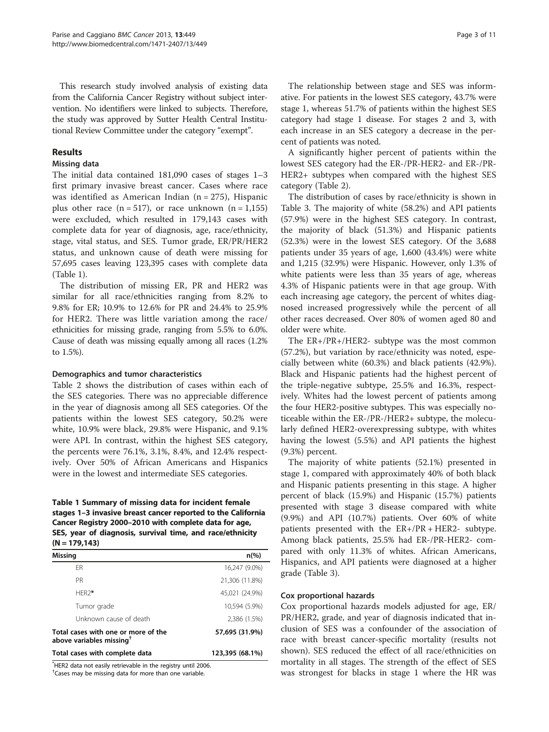This research study involved analysis of existing data from the California Cancer Registry without subject intervention. No identifiers were linked to subjects. Therefore, the study was approved by Sutter Health Central Institutional Review Committee under the category "exempt".

# Results

#### Missing data

The initial data contained 181,090 cases of stages 1–3 first primary invasive breast cancer. Cases where race was identified as American Indian ( $n = 275$ ), Hispanic plus other race  $(n = 517)$ , or race unknown  $(n = 1,155)$ were excluded, which resulted in 179,143 cases with complete data for year of diagnosis, age, race/ethnicity, stage, vital status, and SES. Tumor grade, ER/PR/HER2 status, and unknown cause of death were missing for 57,695 cases leaving 123,395 cases with complete data (Table 1).

The distribution of missing ER, PR and HER2 was similar for all race/ethnicities ranging from 8.2% to 9.8% for ER; 10.9% to 12.6% for PR and 24.4% to 25.9% for HER2. There was little variation among the race/ ethnicities for missing grade, ranging from 5.5% to 6.0%. Cause of death was missing equally among all races (1.2% to 1.5%).

#### Demographics and tumor characteristics

Table [2](#page-3-0) shows the distribution of cases within each of the SES categories. There was no appreciable difference in the year of diagnosis among all SES categories. Of the patients within the lowest SES category, 50.2% were white, 10.9% were black, 29.8% were Hispanic, and 9.1% were API. In contrast, within the highest SES category, the percents were 76.1%, 3.1%, 8.4%, and 12.4% respectively. Over 50% of African Americans and Hispanics were in the lowest and intermediate SES categories.

# Table 1 Summary of missing data for incident female stages 1–3 invasive breast cancer reported to the California Cancer Registry 2000–2010 with complete data for age, SES, year of diagnosis, survival time, and race/ethnicity  $(N = 179, 143)$

| Missing                                                                     | $n\frac{9}{6}$  |
|-----------------------------------------------------------------------------|-----------------|
| <b>FR</b>                                                                   | 16,247 (9.0%)   |
| PR                                                                          | 21,306 (11.8%)  |
| HFR <sub>2</sub> *                                                          | 45,021 (24.9%)  |
| Tumor grade                                                                 | 10,594 (5.9%)   |
| Unknown cause of death                                                      | 2,386 (1.5%)    |
| Total cases with one or more of the<br>above variables missing <sup>†</sup> | 57,695 (31.9%)  |
| Total cases with complete data                                              | 123,395 (68.1%) |

\* HER2 data not easily retrievable in the registry until 2006.

† Cases may be missing data for more than one variable.

The relationship between stage and SES was informative. For patients in the lowest SES category, 43.7% were stage 1, whereas 51.7% of patients within the highest SES category had stage 1 disease. For stages 2 and 3, with each increase in an SES category a decrease in the percent of patients was noted.

A significantly higher percent of patients within the lowest SES category had the ER-/PR-HER2- and ER-/PR-HER2+ subtypes when compared with the highest SES category (Table [2](#page-3-0)).

The distribution of cases by race/ethnicity is shown in Table [3](#page-5-0). The majority of white (58.2%) and API patients (57.9%) were in the highest SES category. In contrast, the majority of black (51.3%) and Hispanic patients (52.3%) were in the lowest SES category. Of the 3,688 patients under 35 years of age, 1,600 (43.4%) were white and 1,215 (32.9%) were Hispanic. However, only 1.3% of white patients were less than 35 years of age, whereas 4.3% of Hispanic patients were in that age group. With each increasing age category, the percent of whites diagnosed increased progressively while the percent of all other races decreased. Over 80% of women aged 80 and older were white.

The ER+/PR+/HER2- subtype was the most common (57.2%), but variation by race/ethnicity was noted, especially between white (60.3%) and black patients (42.9%). Black and Hispanic patients had the highest percent of the triple-negative subtype, 25.5% and 16.3%, respectively. Whites had the lowest percent of patients among the four HER2-positive subtypes. This was especially noticeable within the ER-/PR-/HER2+ subtype, the molecularly defined HER2-overexpressing subtype, with whites having the lowest (5.5%) and API patients the highest (9.3%) percent.

The majority of white patients (52.1%) presented in stage 1, compared with approximately 40% of both black and Hispanic patients presenting in this stage. A higher percent of black (15.9%) and Hispanic (15.7%) patients presented with stage 3 disease compared with white (9.9%) and API (10.7%) patients. Over 60% of white patients presented with the ER+/PR + HER2- subtype. Among black patients, 25.5% had ER-/PR-HER2- compared with only 11.3% of whites. African Americans, Hispanics, and API patients were diagnosed at a higher grade (Table [3](#page-5-0)).

#### Cox proportional hazards

Cox proportional hazards models adjusted for age, ER/ PR/HER2, grade, and year of diagnosis indicated that inclusion of SES was a confounder of the association of race with breast cancer-specific mortality (results not shown). SES reduced the effect of all race/ethnicities on mortality in all stages. The strength of the effect of SES was strongest for blacks in stage 1 where the HR was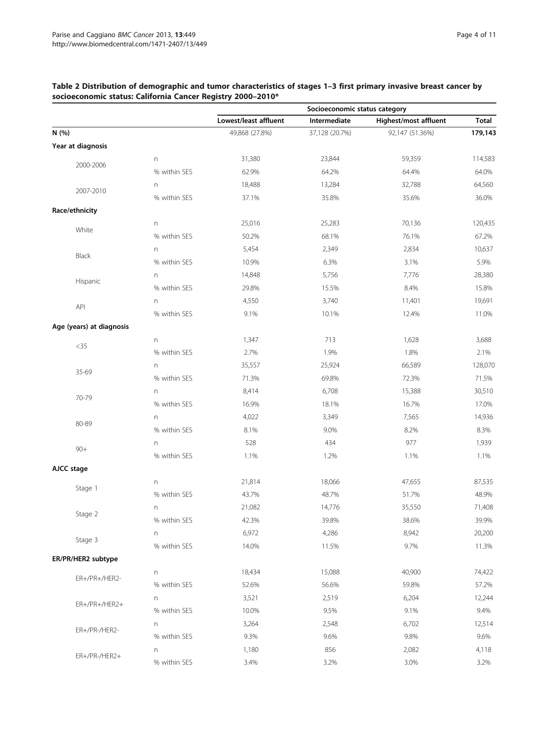|                          |                  | Socioeconomic status category |                |                       |              |
|--------------------------|------------------|-------------------------------|----------------|-----------------------|--------------|
|                          |                  | Lowest/least affluent         | Intermediate   | Highest/most affluent | <b>Total</b> |
| N (%)                    |                  | 49,868 (27.8%)                | 37,128 (20.7%) | 92,147 (51.36%)       | 179,143      |
| Year at diagnosis        |                  |                               |                |                       |              |
|                          | n                | 31,380                        | 23,844         | 59,359                | 114,583      |
| 2000-2006                | % within SES     | 62.9%                         | 64.2%          | 64.4%                 | 64.0%        |
|                          | $\mathsf{n}$     | 18,488                        | 13,284         | 32,788                | 64,560       |
| 2007-2010                | % within SES     | 37.1%                         | 35.8%          | 35.6%                 | 36.0%        |
| Race/ethnicity           |                  |                               |                |                       |              |
|                          | n                | 25,016                        | 25,283         | 70,136                | 120,435      |
| White                    | % within SES     | 50.2%                         | 68.1%          | 76.1%                 | 67.2%        |
|                          | n                | 5,454                         | 2,349          | 2,834                 | 10,637       |
| Black                    | % within SES     | 10.9%                         | 6.3%           | 3.1%                  | 5.9%         |
|                          | $\Gamma$         | 14,848                        | 5,756          | 7,776                 | 28,380       |
| Hispanic                 | % within SES     | 29.8%                         | 15.5%          | 8.4%                  | 15.8%        |
|                          | n                | 4,550                         | 3,740          | 11,401                | 19,691       |
| <b>API</b>               | % within SES     | 9.1%                          | 10.1%          | 12.4%                 | 11.0%        |
| Age (years) at diagnosis |                  |                               |                |                       |              |
|                          | $\mathsf{n}$     | 1,347                         | 713            | 1,628                 | 3,688        |
| $<$ 35                   | % within SES     | 2.7%                          | 1.9%           | 1.8%                  | 2.1%         |
|                          | n                | 35,557                        | 25,924         | 66,589                | 128,070      |
| 35-69                    | % within SES     | 71.3%                         | 69.8%          | 72.3%                 | 71.5%        |
|                          | n                | 8,414                         | 6,708          | 15,388                | 30,510       |
| 70-79                    | % within SES     | 16.9%                         | 18.1%          | 16.7%                 | 17.0%        |
|                          | n                | 4,022                         | 3,349          | 7,565                 | 14,936       |
| 80-89                    | % within SES     | 8.1%                          | 9.0%           | 8.2%                  | 8.3%         |
|                          | n                | 528                           | 434            | 977                   | 1,939        |
| $90+$                    | % within SES     | 1.1%                          | 1.2%           | 1.1%                  | 1.1%         |
| AJCC stage               |                  |                               |                |                       |              |
|                          | n                | 21,814                        | 18,066         | 47,655                | 87,535       |
| Stage 1                  | % within SES     | 43.7%                         | 48.7%          | 51.7%                 | 48.9%        |
|                          | n                | 21,082                        | 14,776         | 35,550                | 71,408       |
| Stage 2                  | % within SES     | 42.3%                         | 39.8%          | 38.6%                 | 39.9%        |
|                          | $\boldsymbol{n}$ | 6,972                         | 4,286          | 8,942                 | 20,200       |
| Stage 3                  | % within SES     | 14.0%                         | 11.5%          | 9.7%                  | 11.3%        |
| ER/PR/HER2 subtype       |                  |                               |                |                       |              |
|                          | n                | 18,434                        | 15,088         | 40,900                | 74,422       |
| ER+/PR+/HER2-            | % within SES     | 52.6%                         | 56.6%          | 59.8%                 | 57.2%        |
|                          | n                | 3,521                         | 2,519          | 6,204                 | 12,244       |
| ER+/PR+/HER2+            | % within SES     | 10.0%                         | 9.5%           | 9.1%                  | 9.4%         |
|                          | n                | 3,264                         | 2,548          | 6,702                 | 12,514       |
| ER+/PR-/HER2-            | % within SES     | 9.3%                          | 9.6%           | 9.8%                  | 9.6%         |
|                          | n                | 1,180                         | 856            | 2,082                 | 4,118        |
| ER+/PR-/HER2+            | % within SES     | 3.4%                          | 3.2%           | 3.0%                  | 3.2%         |

# <span id="page-3-0"></span>Table 2 Distribution of demographic and tumor characteristics of stages 1–3 first primary invasive breast cancer by socioeconomic status: California Cancer Registry 2000–2010\*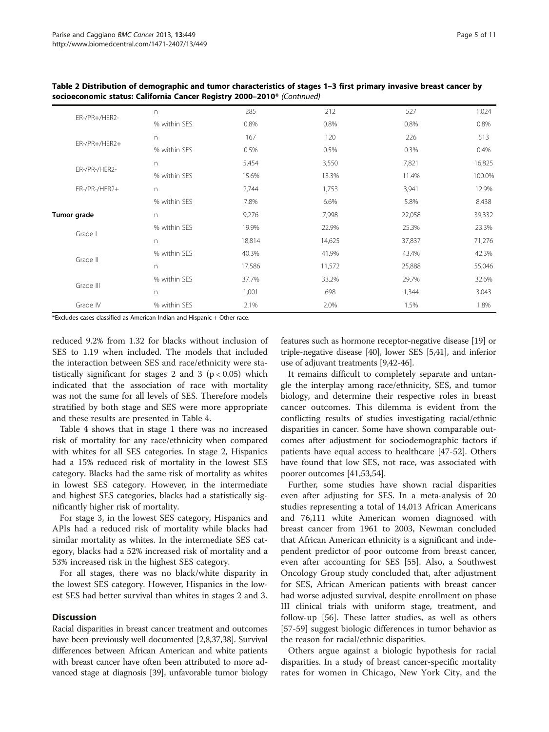| ER-/PR+/HER2-    | n            | 285    | 212    | 527    | 1,024  |
|------------------|--------------|--------|--------|--------|--------|
|                  | % within SES | 0.8%   | 0.8%   | 0.8%   | 0.8%   |
|                  | n            | 167    | 120    | 226    | 513    |
| $ER$ -/PR+/HER2+ | % within SES | 0.5%   | 0.5%   | 0.3%   | 0.4%   |
| ER-/PR-/HER2-    | n            | 5,454  | 3,550  | 7,821  | 16,825 |
|                  | % within SES | 15.6%  | 13.3%  | 11.4%  | 100.0% |
| ER-/PR-/HER2+    | $\Gamma$     | 2,744  | 1,753  | 3,941  | 12.9%  |
|                  | % within SES | 7.8%   | 6.6%   | 5.8%   | 8,438  |
| Tumor grade      | n            | 9,276  | 7,998  | 22,058 | 39,332 |
|                  | % within SES | 19.9%  | 22.9%  | 25.3%  | 23.3%  |
| Grade I          | n            | 18,814 | 14,625 | 37,837 | 71,276 |
| Grade II         | % within SES | 40.3%  | 41.9%  | 43.4%  | 42.3%  |
|                  | n            | 17,586 | 11,572 | 25,888 | 55,046 |
| Grade III        | % within SES | 37.7%  | 33.2%  | 29.7%  | 32.6%  |
|                  | n            | 1,001  | 698    | 1,344  | 3,043  |
| Grade IV         | % within SES | 2.1%   | 2.0%   | 1.5%   | 1.8%   |

Table 2 Distribution of demographic and tumor characteristics of stages 1–3 first primary invasive breast cancer by socioeconomic status: California Cancer Registry 2000–2010\* (Continued)

\*Excludes cases classified as American Indian and Hispanic + Other race.

reduced 9.2% from 1.32 for blacks without inclusion of SES to 1.19 when included. The models that included the interaction between SES and race/ethnicity were statistically significant for stages 2 and 3  $(p < 0.05)$  which indicated that the association of race with mortality was not the same for all levels of SES. Therefore models stratified by both stage and SES were more appropriate and these results are presented in Table [4](#page-7-0).

Table [4](#page-7-0) shows that in stage 1 there was no increased risk of mortality for any race/ethnicity when compared with whites for all SES categories. In stage 2, Hispanics had a 15% reduced risk of mortality in the lowest SES category. Blacks had the same risk of mortality as whites in lowest SES category. However, in the intermediate and highest SES categories, blacks had a statistically significantly higher risk of mortality.

For stage 3, in the lowest SES category, Hispanics and APIs had a reduced risk of mortality while blacks had similar mortality as whites. In the intermediate SES category, blacks had a 52% increased risk of mortality and a 53% increased risk in the highest SES category.

For all stages, there was no black/white disparity in the lowest SES category. However, Hispanics in the lowest SES had better survival than whites in stages 2 and 3.

# **Discussion**

Racial disparities in breast cancer treatment and outcomes have been previously well documented [\[2,8,](#page-8-0)[37,38\]](#page-9-0). Survival differences between African American and white patients with breast cancer have often been attributed to more advanced stage at diagnosis [\[39\]](#page-9-0), unfavorable tumor biology features such as hormone receptor-negative disease [\[19](#page-8-0)] or triple-negative disease [[40](#page-9-0)], lower SES [[5](#page-8-0)[,41](#page-9-0)], and inferior use of adjuvant treatments [\[9,](#page-8-0)[42](#page-9-0)-[46](#page-9-0)].

It remains difficult to completely separate and untangle the interplay among race/ethnicity, SES, and tumor biology, and determine their respective roles in breast cancer outcomes. This dilemma is evident from the conflicting results of studies investigating racial/ethnic disparities in cancer. Some have shown comparable outcomes after adjustment for sociodemographic factors if patients have equal access to healthcare [\[47](#page-9-0)-[52\]](#page-9-0). Others have found that low SES, not race, was associated with poorer outcomes [[41](#page-9-0),[53](#page-9-0),[54](#page-9-0)].

Further, some studies have shown racial disparities even after adjusting for SES. In a meta-analysis of 20 studies representing a total of 14,013 African Americans and 76,111 white American women diagnosed with breast cancer from 1961 to 2003, Newman concluded that African American ethnicity is a significant and independent predictor of poor outcome from breast cancer, even after accounting for SES [[55\]](#page-9-0). Also, a Southwest Oncology Group study concluded that, after adjustment for SES, African American patients with breast cancer had worse adjusted survival, despite enrollment on phase III clinical trials with uniform stage, treatment, and follow-up [\[56](#page-9-0)]. These latter studies, as well as others [[57-59](#page-9-0)] suggest biologic differences in tumor behavior as the reason for racial/ethnic disparities.

Others argue against a biologic hypothesis for racial disparities. In a study of breast cancer-specific mortality rates for women in Chicago, New York City, and the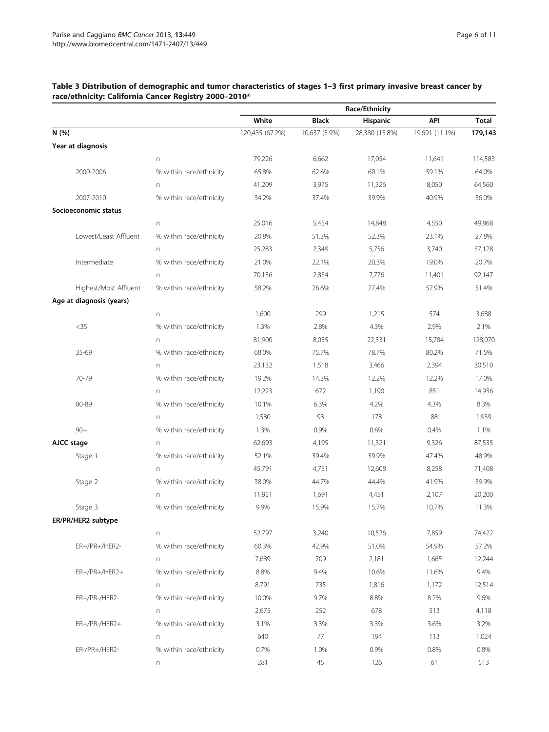|                          |                         | Race/Ethnicity  |               |                |                |         |
|--------------------------|-------------------------|-----------------|---------------|----------------|----------------|---------|
|                          |                         | White           | <b>Black</b>  | Hispanic       | API            | Total   |
| N (%)                    |                         | 120,435 (67.2%) | 10,637 (5.9%) | 28,380 (15.8%) | 19,691 (11.1%) | 179,143 |
| Year at diagnosis        |                         |                 |               |                |                |         |
|                          | n                       | 79,226          | 6,662         | 17,054         | 11,641         | 114,583 |
| 2000-2006                | % within race/ethnicity | 65.8%           | 62.6%         | 60.1%          | 59.1%          | 64.0%   |
|                          | n                       | 41,209          | 3,975         | 11,326         | 8,050          | 64,560  |
| 2007-2010                | % within race/ethnicity | 34.2%           | 37.4%         | 39.9%          | 40.9%          | 36.0%   |
| Socioeconomic status     |                         |                 |               |                |                |         |
|                          | n                       | 25,016          | 5,454         | 14,848         | 4,550          | 49,868  |
| Lowest/Least Affluent    | % within race/ethnicity | 20.8%           | 51.3%         | 52.3%          | 23.1%          | 27.8%   |
|                          | n                       | 25,283          | 2,349         | 5,756          | 3,740          | 37,128  |
| Intermediate             | % within race/ethnicity | 21.0%           | 22.1%         | 20.3%          | 19.0%          | 20.7%   |
|                          | n                       | 70,136          | 2,834         | 7,776          | 11,401         | 92,147  |
| Highest/Most Affluent    | % within race/ethnicity | 58.2%           | 26.6%         | 27.4%          | 57.9%          | 51.4%   |
| Age at diagnosis (years) |                         |                 |               |                |                |         |
|                          | n                       | 1,600           | 299           | 1,215          | 574            | 3,688   |
| $<$ 35                   | % within race/ethnicity | 1.3%            | 2.8%          | 4.3%           | 2.9%           | 2.1%    |
|                          | n                       | 81,900          | 8,055         | 22,331         | 15,784         | 128,070 |
| 35-69                    | % within race/ethnicity | 68.0%           | 75.7%         | 78.7%          | 80.2%          | 71.5%   |
|                          | n                       | 23,132          | 1,518         | 3,466          | 2,394          | 30,510  |
| 70-79                    | % within race/ethnicity | 19.2%           | 14.3%         | 12.2%          | 12.2%          | 17.0%   |
|                          | n                       | 12,223          | 672           | 1,190          | 851            | 14,936  |
| 80-89                    | % within race/ethnicity | 10.1%           | 6.3%          | 4.2%           | 4.3%           | 8.3%    |
|                          | n                       | 1,580           | 93            | 178            | 88             | 1,939   |
| $90+$                    | % within race/ethnicity | 1.3%            | 0.9%          | 0.6%           | 0.4%           | 1.1%    |
| AJCC stage               | n                       | 62,693          | 4,195         | 11,321         | 9,326          | 87,535  |
| Stage 1                  | % within race/ethnicity | 52.1%           | 39.4%         | 39.9%          | 47.4%          | 48.9%   |
|                          | n                       | 45,791          | 4,751         | 12,608         | 8,258          | 71,408  |
| Stage 2                  | % within race/ethnicity | 38.0%           | 44.7%         | 44.4%          | 41.9%          | 39.9%   |
|                          | n                       | 11,951          | 1,691         | 4,451          | 2,107          | 20,200  |
| Stage 3                  | % within race/ethnicity | 9.9%            | 15.9%         | 15.7%          | 10.7%          | 11.3%   |
| ER/PR/HER2 subtype       |                         |                 |               |                |                |         |
|                          | n                       | 52,797          | 3,240         | 10,526         | 7,859          | 74,422  |
| ER+/PR+/HER2-            | % within race/ethnicity | 60.3%           | 42.9%         | 51.0%          | 54.9%          | 57.2%   |
|                          | n                       | 7,689           | 709           | 2,181          | 1,665          | 12,244  |
| ER+/PR+/HER2+            | % within race/ethnicity | 8.8%            | 9.4%          | 10.6%          | 11.6%          | 9.4%    |
|                          | n                       | 8,791           | 735           | 1,816          | 1,172          | 12,514  |
| ER+/PR-/HER2-            | % within race/ethnicity | 10.0%           | 9.7%          | 8.8%           | 8.2%           | 9.6%    |
|                          | n                       | 2,675           | 252           | 678            | 513            | 4,118   |
| ER+/PR-/HER2+            | % within race/ethnicity | 3.1%            | 3.3%          | 3.3%           | 3.6%           | 3.2%    |
|                          | n                       | 640             | 77            | 194            | 113            | 1,024   |
| ER-/PR+/HER2-            | % within race/ethnicity | 0.7%            | 1.0%          | 0.9%           | 0.8%           | 0.8%    |
|                          | n                       | 281             | 45            | 126            | 61             | 513     |

# <span id="page-5-0"></span>Table 3 Distribution of demographic and tumor characteristics of stages 1–3 first primary invasive breast cancer by race/ethnicity: California Cancer Registry 2000–2010\*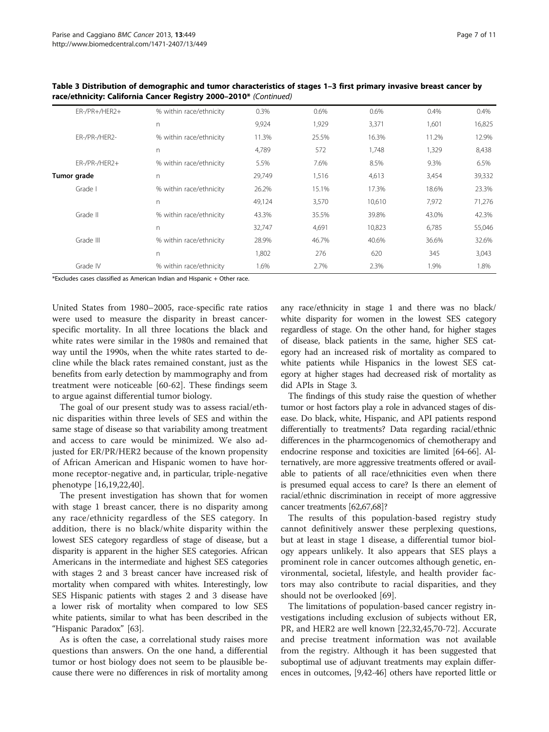| ER-/PR+/HER2+ | % within race/ethnicity | 0.3%   | 0.6%  | 0.6%   | 0.4%  | 0.4%   |
|---------------|-------------------------|--------|-------|--------|-------|--------|
|               | n                       | 9,924  | 1,929 | 3,371  | 1,601 | 16,825 |
| ER-/PR-/HER2- | % within race/ethnicity | 11.3%  | 25.5% | 16.3%  | 11.2% | 12.9%  |
|               | n                       | 4,789  | 572   | 1,748  | 1,329 | 8,438  |
| ER-/PR-/HER2+ | % within race/ethnicity | 5.5%   | 7.6%  | 8.5%   | 9.3%  | 6.5%   |
| Tumor grade   | n.                      | 29,749 | 1,516 | 4,613  | 3,454 | 39,332 |
| Grade I       | % within race/ethnicity | 26.2%  | 15.1% | 17.3%  | 18.6% | 23.3%  |
|               | n                       | 49,124 | 3,570 | 10,610 | 7,972 | 71,276 |
| Grade II      | % within race/ethnicity | 43.3%  | 35.5% | 39.8%  | 43.0% | 42.3%  |
|               | n                       | 32,747 | 4,691 | 10,823 | 6,785 | 55,046 |
| Grade III     | % within race/ethnicity | 28.9%  | 46.7% | 40.6%  | 36.6% | 32.6%  |
|               | n                       | 1.802  | 276   | 620    | 345   | 3,043  |
| Grade IV      | % within race/ethnicity | 1.6%   | 2.7%  | 2.3%   | 1.9%  | 1.8%   |
|               |                         |        |       |        |       |        |

Table 3 Distribution of demographic and tumor characteristics of stages 1–3 first primary invasive breast cancer by race/ethnicity: California Cancer Registry 2000–2010\* (Continued)

\*Excludes cases classified as American Indian and Hispanic + Other race.

United States from 1980–2005, race-specific rate ratios were used to measure the disparity in breast cancerspecific mortality. In all three locations the black and white rates were similar in the 1980s and remained that way until the 1990s, when the white rates started to decline while the black rates remained constant, just as the benefits from early detection by mammography and from treatment were noticeable [[60](#page-9-0)-[62\]](#page-9-0). These findings seem to argue against differential tumor biology.

The goal of our present study was to assess racial/ethnic disparities within three levels of SES and within the same stage of disease so that variability among treatment and access to care would be minimized. We also adjusted for ER/PR/HER2 because of the known propensity of African American and Hispanic women to have hormone receptor-negative and, in particular, triple-negative phenotype [\[16,19,22](#page-8-0)[,40](#page-9-0)].

The present investigation has shown that for women with stage 1 breast cancer, there is no disparity among any race/ethnicity regardless of the SES category. In addition, there is no black/white disparity within the lowest SES category regardless of stage of disease, but a disparity is apparent in the higher SES categories. African Americans in the intermediate and highest SES categories with stages 2 and 3 breast cancer have increased risk of mortality when compared with whites. Interestingly, low SES Hispanic patients with stages 2 and 3 disease have a lower risk of mortality when compared to low SES white patients, similar to what has been described in the "Hispanic Paradox" [\[63\]](#page-9-0).

As is often the case, a correlational study raises more questions than answers. On the one hand, a differential tumor or host biology does not seem to be plausible because there were no differences in risk of mortality among any race/ethnicity in stage 1 and there was no black/ white disparity for women in the lowest SES category regardless of stage. On the other hand, for higher stages of disease, black patients in the same, higher SES category had an increased risk of mortality as compared to white patients while Hispanics in the lowest SES category at higher stages had decreased risk of mortality as did APIs in Stage 3.

The findings of this study raise the question of whether tumor or host factors play a role in advanced stages of disease. Do black, white, Hispanic, and API patients respond differentially to treatments? Data regarding racial/ethnic differences in the pharmcogenomics of chemotherapy and endocrine response and toxicities are limited [\[64-66\]](#page-9-0). Alternatively, are more aggressive treatments offered or available to patients of all race/ethnicities even when there is presumed equal access to care? Is there an element of racial/ethnic discrimination in receipt of more aggressive cancer treatments [\[62,67,68\]](#page-9-0)?

The results of this population-based registry study cannot definitively answer these perplexing questions, but at least in stage 1 disease, a differential tumor biology appears unlikely. It also appears that SES plays a prominent role in cancer outcomes although genetic, environmental, societal, lifestyle, and health provider factors may also contribute to racial disparities, and they should not be overlooked [\[69\]](#page-9-0).

The limitations of population-based cancer registry investigations including exclusion of subjects without ER, PR, and HER2 are well known [[22,32](#page-8-0),[45](#page-9-0),[70](#page-9-0)-[72\]](#page-9-0). Accurate and precise treatment information was not available from the registry. Although it has been suggested that suboptimal use of adjuvant treatments may explain differences in outcomes, [\[9](#page-8-0)[,42-46\]](#page-9-0) others have reported little or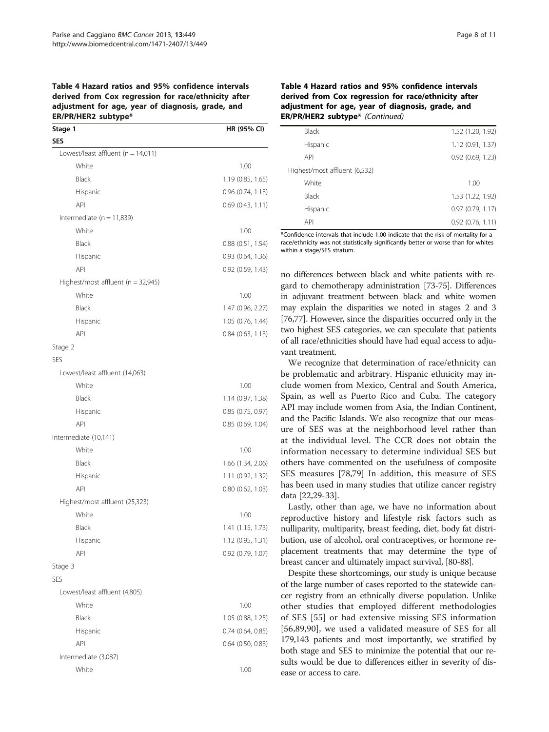#### <span id="page-7-0"></span>Table 4 Hazard ratios and 95% confidence intervals derived from Cox regression for race/ethnicity after adjustment for age, year of diagnosis, grade, and ER/PR/HER2 subtype\*

| Stage 1                                | HR (95% CI)           |
|----------------------------------------|-----------------------|
| <b>SES</b>                             |                       |
| Lowest/least affluent ( $n = 14,011$ ) |                       |
| White                                  | 1.00                  |
| Black                                  | 1.19 (0.85, 1.65)     |
| Hispanic                               | 0.96(0.74, 1.13)      |
| API                                    | 0.69(0.43, 1.11)      |
| Intermediate ( $n = 11,839$ )          |                       |
| White                                  | 1.00                  |
| Black                                  | $0.88$ $(0.51, 1.54)$ |
| Hispanic                               | 0.93 (0.64, 1.36)     |
| API                                    | $0.92$ $(0.59, 1.43)$ |
| Highest/most affluent (n = 32,945)     |                       |
| White                                  | 1.00                  |
| Black                                  | 1.47 (0.96, 2.27)     |
| Hispanic                               | 1.05 (0.76, 1.44)     |
| API                                    | 0.84 (0.63, 1.13)     |
| Stage 2                                |                       |
| <b>SES</b>                             |                       |
| Lowest/least affluent (14,063)         |                       |
| White                                  | 1.00                  |
| Black                                  | 1.14 (0.97, 1.38)     |
| Hispanic                               | 0.85 (0.75, 0.97)     |
| <b>API</b>                             | $0.85$ (0.69, 1.04)   |
| Intermediate (10,141)                  |                       |
| White                                  | 1.00                  |
| Black                                  | 1.66 (1.34, 2.06)     |
| Hispanic                               | 1.11 (0.92, 1.32)     |
| API                                    | $0.80$ $(0.62, 1.03)$ |
| Highest/most affluent (25,323)         |                       |
| White                                  | 1.00                  |
| Black                                  | 1.41 (1.15, 1.73)     |
| Hispanic                               | 1.12 (0.95, 1.31)     |
| API                                    | 0.92 (0.79, 1.07)     |
| Stage 3                                |                       |
| <b>SES</b>                             |                       |
| Lowest/least affluent (4,805)          |                       |
| White                                  | 1.00                  |
| Black                                  | 1.05 (0.88, 1.25)     |
| Hispanic                               | 0.74 (0.64, 0.85)     |
| API                                    | $0.64$ $(0.50, 0.83)$ |
| Intermediate (3,087)                   |                       |
| White                                  | 1.00                  |

# Table 4 Hazard ratios and 95% confidence intervals derived from Cox regression for race/ethnicity after adjustment for age, year of diagnosis, grade, and ER/PR/HER2 subtype\* (Continued)

| 1.52 (1.20, 1.92)     |
|-----------------------|
| 1.12(0.91, 1.37)      |
| $0.92$ $(0.69, 1.23)$ |
|                       |
| 1.00                  |
| 1.53 (1.22, 1.92)     |
| 0.97(0.79, 1.17)      |
| $0.92$ $(0.76, 1.11)$ |
|                       |

\*Confidence intervals that include 1.00 indicate that the risk of mortality for a race/ethnicity was not statistically significantly better or worse than for whites within a stage/SES stratum.

no differences between black and white patients with regard to chemotherapy administration [[73](#page-9-0)-[75](#page-10-0)]. Differences in adjuvant treatment between black and white women may explain the disparities we noted in stages 2 and 3 [[76,77\]](#page-10-0). However, since the disparities occurred only in the two highest SES categories, we can speculate that patients of all race/ethnicities should have had equal access to adjuvant treatment.

We recognize that determination of race/ethnicity can be problematic and arbitrary. Hispanic ethnicity may include women from Mexico, Central and South America, Spain, as well as Puerto Rico and Cuba. The category API may include women from Asia, the Indian Continent, and the Pacific Islands. We also recognize that our measure of SES was at the neighborhood level rather than at the individual level. The CCR does not obtain the information necessary to determine individual SES but others have commented on the usefulness of composite SES measures [\[78,79](#page-10-0)] In addition, this measure of SES has been used in many studies that utilize cancer registry data [[22](#page-8-0),[29](#page-8-0)-[33\]](#page-9-0).

Lastly, other than age, we have no information about reproductive history and lifestyle risk factors such as nulliparity, multiparity, breast feeding, diet, body fat distribution, use of alcohol, oral contraceptives, or hormone replacement treatments that may determine the type of breast cancer and ultimately impact survival, [\[80-88\]](#page-10-0).

Despite these shortcomings, our study is unique because of the large number of cases reported to the statewide cancer registry from an ethnically diverse population. Unlike other studies that employed different methodologies of SES [\[55](#page-9-0)] or had extensive missing SES information [[56](#page-9-0)[,89,90\]](#page-10-0), we used a validated measure of SES for all 179,143 patients and most importantly, we stratified by both stage and SES to minimize the potential that our results would be due to differences either in severity of disease or access to care.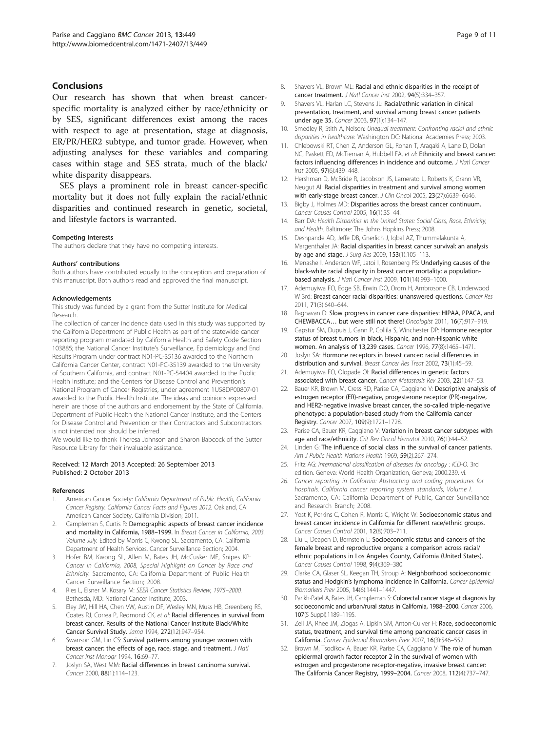#### <span id="page-8-0"></span>Conclusions

Our research has shown that when breast cancerspecific mortality is analyzed either by race/ethnicity or by SES, significant differences exist among the races with respect to age at presentation, stage at diagnosis, ER/PR/HER2 subtype, and tumor grade. However, when adjusting analyses for these variables and comparing cases within stage and SES strata, much of the black/ white disparity disappears.

SES plays a prominent role in breast cancer-specific mortality but it does not fully explain the racial/ethnic disparities and continued research in genetic, societal, and lifestyle factors is warranted.

#### Competing interests

The authors declare that they have no competing interests.

#### Authors' contributions

Both authors have contributed equally to the conception and preparation of this manuscript. Both authors read and approved the final manuscript.

#### Acknowledgements

This study was funded by a grant from the Sutter Institute for Medical Research.

The collection of cancer incidence data used in this study was supported by the California Department of Public Health as part of the statewide cancer reporting program mandated by California Health and Safety Code Section 103885; the National Cancer Institute's Surveillance, Epidemiology and End Results Program under contract N01-PC-35136 awarded to the Northern California Cancer Center, contract N01-PC-35139 awarded to the University of Southern California, and contract N01-PC-54404 awarded to the Public Health Institute; and the Centers for Disease Control and Prevention's National Program of Cancer Registries, under agreement 1U58DP00807-01 awarded to the Public Health Institute. The ideas and opinions expressed herein are those of the authors and endorsement by the State of California, Department of Public Health the National Cancer Institute, and the Centers for Disease Control and Prevention or their Contractors and Subcontractors is not intended nor should be inferred.

We would like to thank Theresa Johnson and Sharon Babcock of the Sutter Resource Library for their invaluable assistance.

#### Received: 12 March 2013 Accepted: 26 September 2013 Published: 2 October 2013

#### References

- 1. American Cancer Society: California Department of Public Health, California Cancer Registry. California Cancer Facts and Figures 2012. Oakland, CA: American Cancer Society, California Division; 2011.
- 2. Campleman S, Curtis R: Demographic aspects of breast cancer incidence and mortality in California, 1988–1999. In Breast Cancer in California, 2003. Volume July. Edited by Morris C, Kwong SL. Sacramento, CA: California Department of Health Services, Cancer Surveillance Section; 2004.
- 3. Hofer BM, Kwong SL, Allen M, Bates JH, McCusker ME, Snipes KP: Cancer in California, 2008, Special Highlight on Cancer by Race and Ethnicity. Sacramento, CA: California Department of Public Health Cancer Surveillance Section; 2008.
- 4. Ries L, Eisner M, Kosary M: SEER Cancer Statistics Review, 1975–2000. Bethesda, MD: National Cancer Institute; 2003.
- 5. Eley JW, Hill HA, Chen VW, Austin DF, Wesley MN, Muss HB, Greenberg RS, Coates RJ, Correa P, Redmond CK, et al: Racial differences in survival from breast cancer. Results of the National Cancer Institute Black/White Cancer Survival Study. Jama 1994, 272(12):947–954.
- Swanson GM, Lin CS: Survival patterns among younger women with breast cancer: the effects of age, race, stage, and treatment. J Natl Cancer Inst Monogr 1994, 16:69–77.
- 7. Joslyn SA, West MM: Racial differences in breast carcinoma survival. Cancer 2000, 88(1):114–123.
- 8. Shavers VL, Brown ML: Racial and ethnic disparities in the receipt of cancer treatment. J Natl Cancer Inst 2002, 94(5):334–357.
- 9. Shavers VL, Harlan LC, Stevens JL: Racial/ethnic variation in clinical presentation, treatment, and survival among breast cancer patients under age 35. Cancer 2003, 97(1):134–147.
- 10. Smedley R, Stith A, Nelson: Unequal treatment: Confronting racial and ethnic disparities in healthcare. Washington DC: National Academies Press; 2003.
- 11. Chlebowski RT, Chen Z, Anderson GL, Rohan T, Aragaki A, Lane D, Dolan NC, Paskett ED, McTiernan A, Hubbell FA, et al: Ethnicity and breast cancer: factors influencing differences in incidence and outcome. J Natl Cancer Inst 2005, 97(6):439–448.
- 12. Hershman D, McBride R, Jacobson JS, Lamerato L, Roberts K, Grann VR, Neugut AI: Racial disparities in treatment and survival among women with early-stage breast cancer. J Clin Oncol 2005, 23(27):6639-6646.
- 13. Bigby J, Holmes MD: Disparities across the breast cancer continuum. Cancer Causes Control 2005, 16(1):35–44.
- 14. Barr DA: Health Disparities in the United States: Social Class, Race, Ethnicity, and Health. Baltimore: The Johns Hopkins Press; 2008.
- 15. Deshpande AD, Jeffe DB, Gnerlich J, Iqbal AZ, Thummalakunta A, Margenthaler JA: Racial disparities in breast cancer survival: an analysis by age and stage. J Surg Res 2009, 153(1):105–113.
- 16. Menashe I, Anderson WF, Jatoi I, Rosenberg PS: Underlying causes of the black-white racial disparity in breast cancer mortality: a populationbased analysis. J Natl Cancer Inst 2009, 101(14):993–1000.
- 17. Ademuyiwa FO, Edge SB, Erwin DO, Orom H, Ambrosone CB, Underwood W 3rd: Breast cancer racial disparities: unanswered questions. Cancer Res 2011, 71(3):640–644.
- 18. Raghavan D: Slow progress in cancer care disparities: HIPAA, PPACA, and CHEWBACCA… but were still not there! Oncologist 2011, 16(7):917–919.
- 19. Gapstur SM, Dupuis J, Gann P, Collila S, Winchester DP: Hormone receptor status of breast tumors in black, Hispanic, and non-Hispanic white women. An analysis of 13,239 cases. Cancer 1996, 77(8):1465–1471.
- 20. Joslyn SA: Hormone receptors in breast cancer: racial differences in distribution and survival. Breast Cancer Res Treat 2002, 73(1):45–59.
- 21. Ademuyiwa FO, Olopade OI: Racial differences in genetic factors associated with breast cancer. Cancer Metastasis Rev 2003, 22(1):47–53.
- 22. Bauer KR, Brown M, Cress RD, Parise CA, Caggiano V: Descriptive analysis of estrogen receptor (ER)-negative, progesterone receptor (PR)-negative, and HER2-negative invasive breast cancer, the so-called triple-negative phenotype: a population-based study from the California cancer Registry. Cancer 2007, 109(9):1721–1728.
- 23. Parise CA, Bauer KR, Caggiano V: Variation in breast cancer subtypes with age and race/ethnicity. Crit Rev Oncol Hematol 2010, 76(1):44–52.
- 24. Linden G: The influence of social class in the survival of cancer patients. Am J Public Health Nations Health 1969, 59(2):267–274.
- 25. Fritz AG: International classification of diseases for oncology : ICD-O. 3rd edition. Geneva: World Health Organization, Geneva; 2000:239. vi.
- 26. Cancer reporting in California: Abstracting and coding procedures for hospitals. California cancer reporting system standards, Volume I. Sacramento, CA: California Department of Public, Cancer Surveillance and Research Branch; 2008.
- 27. Yost K, Perkins C, Cohen R, Morris C, Wright W: Socioeconomic status and breast cancer incidence in California for different race/ethnic groups. Cancer Causes Control 2001, 12(8):703–711.
- 28. Liu L, Deapen D, Bernstein L: Socioeconomic status and cancers of the female breast and reproductive organs: a comparison across racial/ ethnic populations in Los Angeles County, California (United States). Cancer Causes Control 1998, 9(4):369–380.
- 29. Clarke CA, Glaser SL, Keegan TH, Stroup A: Neighborhood socioeconomic status and Hodgkin's lymphoma incidence in California. Cancer Epidemiol Biomarkers Prev 2005, 14(6):1441–1447.
- 30. Parikh-Patel A, Bates JH, Campleman S: Colorectal cancer stage at diagnosis by socioeconomic and urban/rural status in California, 1988–2000. Cancer 2006, 107(5 Suppl):1189–1195.
- 31. Zell JA, Rhee JM, Ziogas A, Lipkin SM, Anton-Culver H: Race, socioeconomic status, treatment, and survival time among pancreatic cancer cases in California. Cancer Epidemiol Biomarkers Prev 2007, 16(3):546–552.
- 32. Brown M, Tsodikov A, Bauer KR, Parise CA, Caggiano V: The role of human epidermal growth factor receptor 2 in the survival of women with estrogen and progesterone receptor-negative, invasive breast cancer: The California Cancer Registry, 1999–2004. Cancer 2008, 112(4):737–747.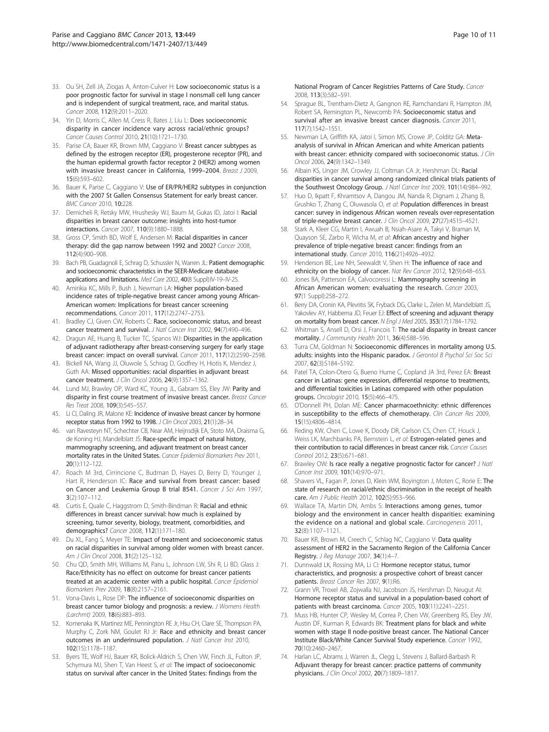- <span id="page-9-0"></span>33. Ou SH, Zell JA, Ziogas A, Anton-Culver H: Low socioeconomic status is a poor prognostic factor for survival in stage I nonsmall cell lung cancer and is independent of surgical treatment, race, and marital status. Cancer 2008, 112(9):2011–2020.
- 34. Yin D, Morris C, Allen M, Cress R, Bates J, Liu L: Does socioeconomic disparity in cancer incidence vary across racial/ethnic groups? Cancer Causes Control 2010, 21(10):1721–1730.
- 35. Parise CA, Bauer KR, Brown MM, Caggiano V: Breast cancer subtypes as defined by the estrogen receptor (ER), progesterone receptor (PR), and the human epidermal growth factor receptor 2 (HER2) among women with invasive breast cancer in California, 1999-2004. Breast J 2009, 15(6):593–602.
- 36. Bauer K, Parise C, Caggiano V: Use of ER/PR/HER2 subtypes in conjunction with the 2007 St Gallen Consensus Statement for early breast cancer. BMC Cancer 2010, 10:228.
- 37. Demicheli R, Retsky MW, Hrushesky WJ, Baum M, Gukas ID, Jatoi I: Racial disparities in breast cancer outcome: insights into host-tumor interactions. Cancer 2007, 110(9):1880–1888.
- 38. Gross CP, Smith BD, Wolf E, Andersen M: Racial disparities in cancer therapy: did the gap narrow between 1992 and 2002? Cancer 2008, 112(4):900–908.
- 39. Bach PB, Guadagnoli E, Schrag D, Schussler N, Warren JL: Patient demographic and socioeconomic characteristics in the SEER-Medicare database applications and limitations. Med Care 2002, 40(8 Suppl):IV-19-IV-25.
- 40. Amirikia KC, Mills P, Bush J, Newman LA: Higher population-based incidence rates of triple-negative breast cancer among young African-American women: Implications for breast cancer screening recommendations. Cancer 2011, 117(12):2747–2753.
- 41. Bradley CJ, Given CW, Roberts C: Race, socioeconomic status, and breast cancer treatment and survival. J Natl Cancer Inst 2002, 94(7):490–496.
- 42. Dragun AE, Huang B, Tucker TC, Spanos WJ: Disparities in the application of adjuvant radiotherapy after breast-conserving surgery for early stage breast cancer: impact on overall survival. Cancer 2011, 117(12):2590–2598.
- 43. Bickell NA, Wang JJ, Oluwole S, Schrag D, Godfrey H, Hiotis K, Mendez J, Guth AA: Missed opportunities: racial disparities in adjuvant breast cancer treatment. J Clin Oncol 2006, 24(9):1357–1362.
- 44. Lund MJ, Brawley OP, Ward KC, Young JL, Gabram SS, Eley JW: Parity and disparity in first course treatment of invasive breast cancer. Breast Cancer Res Treat 2008, 109(3):545–557.
- 45. Li CI, Daling JR, Malone KE: Incidence of invasive breast cancer by hormone receptor status from 1992 to 1998. J Clin Oncol 2003, 21(1):28–34.
- 46. van Ravesteyn NT, Schechter CB, Near AM, Heijnsdijk EA, Stoto MA, Draisma G, de Koning HJ, Mandelblatt JS: Race-specific impact of natural history, mammography screening, and adjuvant treatment on breast cancer mortality rates in the United States. Cancer Epidemiol Biomarkers Prev 2011, 20(1):112–122.
- 47. Roach M 3rd, Cirrincione C, Budman D, Hayes D, Berry D, Younger J, Hart R, Henderson IC: Race and survival from breast cancer: based on Cancer and Leukemia Group B trial 8541. Cancer J Sci Am 1997, 3(2):107–112.
- 48. Curtis E, Quale C, Haggstrom D, Smith-Bindman R: Racial and ethnic differences in breast cancer survival: how much is explained by screening, tumor severity, biology, treatment, comorbidities, and demographics? Cancer 2008, 112(1):171–180.
- 49. Du XL, Fang S, Meyer TE: Impact of treatment and socioeconomic status on racial disparities in survival among older women with breast cancer. Am J Clin Oncol 2008, 31(2):125–132.
- 50. Chu QD, Smith MH, Williams M, Panu L, Johnson LW, Shi R, Li BD, Glass J: Race/Ethnicity has no effect on outcome for breast cancer patients treated at an academic center with a public hospital. Cancer Epidemiol Biomarkers Prev 2009, 18(8):2157–2161.
- 51. Vona-Davis L, Rose DP: The influence of socioeconomic disparities on breast cancer tumor biology and prognosis: a review. J Womens Health (Larchmt) 2009, 18(6):883–893.
- 52. Komenaka IK, Martinez ME, Pennington RE Jr, Hsu CH, Clare SE, Thompson PA, Murphy C, Zork NM, Goulet RJ Jr: Race and ethnicity and breast cancer outcomes in an underinsured population. J Natl Cancer Inst 2010, 102(15):1178–1187.
- 53. Byers TE, Wolf HJ, Bauer KR, Bolick-Aldrich S, Chen VW, Finch JL, Fulton JP, Schymura MJ, Shen T, Van Heest S, et al: The impact of socioeconomic status on survival after cancer in the United States: findings from the

National Program of Cancer Registries Patterns of Care Study. Cancer 2008, 113(3):582–591.

- 54. Sprague BL, Trentham-Dietz A, Gangnon RE, Ramchandani R, Hampton JM, Robert SA, Remington PL, Newcomb PA: Socioeconomic status and survival after an invasive breast cancer diagnosis. Cancer 2011, 117(7):1542–1551.
- 55. Newman LA, Griffith KA, Jatoi I, Simon MS, Crowe JP, Colditz GA: Metaanalysis of survival in African American and white American patients with breast cancer: ethnicity compared with socioeconomic status. J Clin Oncol 2006, 24(9):1342–1349.
- 56. Albain KS, Unger JM, Crowley JJ, Coltman CA Jr, Hershman DL: Racial disparities in cancer survival among randomized clinical trials patients of the Southwest Oncology Group. J Natl Cancer Inst 2009, 101(14):984-992.
- 57. Huo D, Ikpatt F, Khramtsov A, Dangou JM, Nanda R, Dignam J, Zhang B, Grushko T, Zhang C, Oluwasola O, et al: Population differences in breast cancer: survey in indigenous African women reveals over-representation of triple-negative breast cancer. J Clin Oncol 2009, 27(27):4515–4521.
- 58. Stark A, Kleer CG, Martin I, Awuah B, Nsiah-Asare A, Takyi V, Braman M, Quayson SE, Zarbo R, Wicha M, et al: African ancestry and higher prevalence of triple-negative breast cancer: findings from an international study. Cancer 2010, 116(21):4926–4932.
- 59. Henderson BE, Lee NH, Seewaldt V, Shen H: The influence of race and ethnicity on the biology of cancer. Nat Rev Cancer 2012, 12(9):648-653.
- 60. Jones BA, Patterson EA, Calvocoressi L: Mammography screening in African American women: evaluating the research. Cancer 2003, 97(1 Suppl):258–272.
- 61. Berry DA, Cronin KA, Plevritis SK, Fryback DG, Clarke L, Zelen M, Mandelblatt JS, Yakovlev AY, Habbema JD, Feuer EJ: Effect of screening and adjuvant therapy on mortality from breast cancer. N Engl J Med 2005, 353(17):1784–1792.
- 62. Whitman S, Ansell D, Orsi J, Francois T: The racial disparity in breast cancer mortality. J Community Health 2011, 36(4):588-596.
- 63. Turra CM, Goldman N: Socioeconomic differences in mortality among U.S. adults: insights into the Hispanic paradox. J Gerontol B Psychol Sci Soc Sci 2007, 62(3):S184–S192.
- 64. Patel TA, Colon-Otero G, Bueno Hume C, Copland JA 3rd, Perez EA: Breast cancer in Latinas: gene expression, differential response to treatments, and differential toxicities in Latinas compared with other population groups. Oncologist 2010, 15(5):466–475.
- 65. O'Donnell PH, Dolan ME: Cancer pharmacoethnicity: ethnic differences in susceptibility to the effects of chemotherapy. Clin Cancer Res 2009, 15(15):4806–4814.
- 66. Reding KW, Chen C, Lowe K, Doody DR, Carlson CS, Chen CT, Houck J, Weiss LK, Marchbanks PA, Bernstein L, et al: Estrogen-related genes and their contribution to racial differences in breast cancer risk. Cancer Causes Control 2012, 23(5):671–681.
- 67. Brawley OW: Is race really a negative prognostic factor for cancer? J Natl Cancer Inst 2009, 101(14):970–971.
- 68. Shavers VL, Fagan P, Jones D, Klein WM, Boyington J, Moten C, Rorie E: The state of research on racial/ethnic discrimination in the receipt of health care. Am J Public Health 2012, 102(5):953–966.
- 69. Wallace TA, Martin DN, Ambs S: Interactions among genes, tumor biology and the environment in cancer health disparities: examining the evidence on a national and global scale. Carcinogenesis 2011, 32(8):1107–1121.
- 70. Bauer KR, Brown M, Creech C, Schlag NC, Caggiano V: Data quality assessment of HER2 in the Sacramento Region of the California Cancer Registry. J Reg Manage 2007, 34(1):4–7.
- 71. Dunnwald LK, Rossing MA, Li CI: Hormone receptor status, tumor characteristics, and prognosis: a prospective cohort of breast cancer patients. Breast Cancer Res 2007, 9(1):R6.
- 72. Grann VR, Troxel AB, Zojwalla NJ, Jacobson JS, Hershman D, Neugut AI: Hormone receptor status and survival in a population-based cohort of patients with breast carcinoma. Cancer 2005, 103(11):2241–2251.
- 73. Muss HB, Hunter CP, Wesley M, Correa P, Chen VW, Greenberg RS, Eley JW, Austin DF, Kurman R, Edwards BK: Treatment plans for black and white women with stage II node-positive breast cancer. The National Cancer Institute Black/White Cancer Survival Study experience. Cancer 1992, 70(10):2460–2467.
- 74. Harlan LC, Abrams J, Warren JL, Clegg L, Stevens J, Ballard-Barbash R: Adjuvant therapy for breast cancer: practice patterns of community physicians. J Clin Oncol 2002, 20(7):1809–1817.